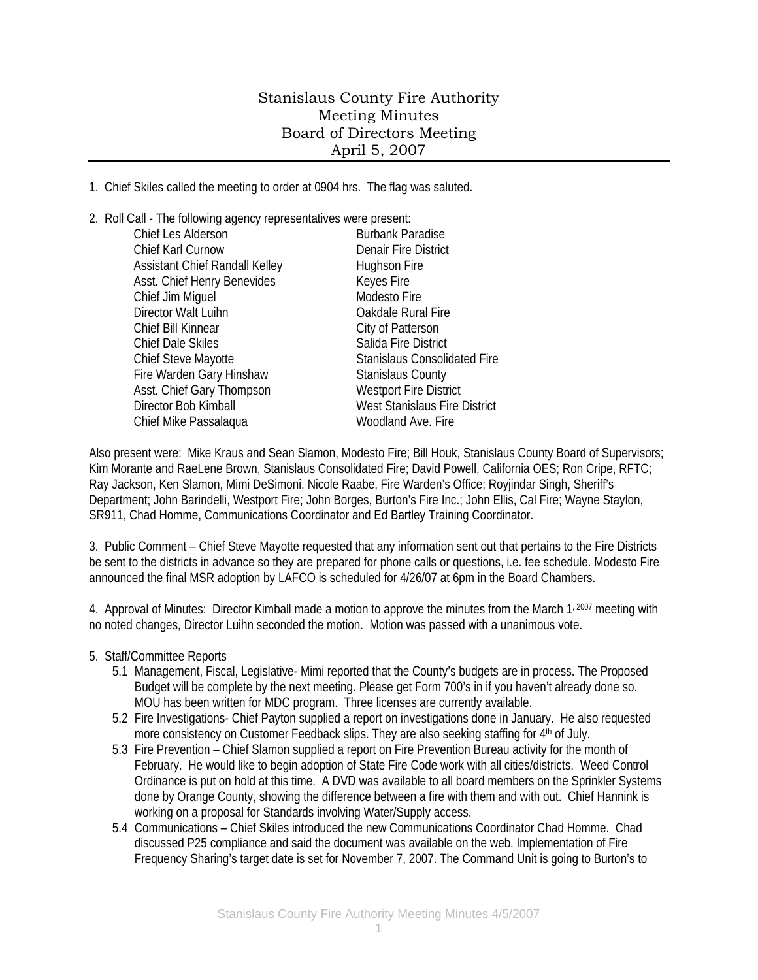## Stanislaus County Fire Authority Meeting Minutes Board of Directors Meeting April 5, 2007

1. Chief Skiles called the meeting to order at 0904 hrs. The flag was saluted.

2. Roll Call - The following agency representatives were present:

| Chief Les Alderson             | <b>Burbank Paradise</b>              |
|--------------------------------|--------------------------------------|
| Chief Karl Curnow              | <b>Denair Fire District</b>          |
| Assistant Chief Randall Kelley | Hughson Fire                         |
| Asst. Chief Henry Benevides    | Keyes Fire                           |
| Chief Jim Miguel               | Modesto Fire                         |
| Director Walt Luihn            | Oakdale Rural Fire                   |
| Chief Bill Kinnear             | City of Patterson                    |
| <b>Chief Dale Skiles</b>       | Salida Fire District                 |
| Chief Steve Mayotte            | <b>Stanislaus Consolidated Fire</b>  |
| Fire Warden Gary Hinshaw       | <b>Stanislaus County</b>             |
| Asst. Chief Gary Thompson      | <b>Westport Fire District</b>        |
| Director Bob Kimball           | <b>West Stanislaus Fire District</b> |
| Chief Mike Passalaqua          | Woodland Ave. Fire                   |
|                                |                                      |

Also present were: Mike Kraus and Sean Slamon, Modesto Fire; Bill Houk, Stanislaus County Board of Supervisors; Kim Morante and RaeLene Brown, Stanislaus Consolidated Fire; David Powell, California OES; Ron Cripe, RFTC; Ray Jackson, Ken Slamon, Mimi DeSimoni, Nicole Raabe, Fire Warden's Office; Royjindar Singh, Sheriff's Department; John Barindelli, Westport Fire; John Borges, Burton's Fire Inc.; John Ellis, Cal Fire; Wayne Staylon, SR911, Chad Homme, Communications Coordinator and Ed Bartley Training Coordinator.

3. Public Comment – Chief Steve Mayotte requested that any information sent out that pertains to the Fire Districts be sent to the districts in advance so they are prepared for phone calls or questions, i.e. fee schedule. Modesto Fire announced the final MSR adoption by LAFCO is scheduled for 4/26/07 at 6pm in the Board Chambers.

4. Approval of Minutes: Director Kimball made a motion to approve the minutes from the March 1, 2007 meeting with no noted changes, Director Luihn seconded the motion. Motion was passed with a unanimous vote.

## 5. Staff/Committee Reports

- 5.1 Management, Fiscal, Legislative- Mimi reported that the County's budgets are in process. The Proposed Budget will be complete by the next meeting. Please get Form 700's in if you haven't already done so. MOU has been written for MDC program. Three licenses are currently available.
- 5.2 Fire Investigations- Chief Payton supplied a report on investigations done in January. He also requested more consistency on Customer Feedback slips. They are also seeking staffing for 4<sup>th</sup> of July.
- 5.3 Fire Prevention Chief Slamon supplied a report on Fire Prevention Bureau activity for the month of February. He would like to begin adoption of State Fire Code work with all cities/districts. Weed Control Ordinance is put on hold at this time. A DVD was available to all board members on the Sprinkler Systems done by Orange County, showing the difference between a fire with them and with out. Chief Hannink is working on a proposal for Standards involving Water/Supply access.
- 5.4 Communications Chief Skiles introduced the new Communications Coordinator Chad Homme. Chad discussed P25 compliance and said the document was available on the web. Implementation of Fire Frequency Sharing's target date is set for November 7, 2007. The Command Unit is going to Burton's to